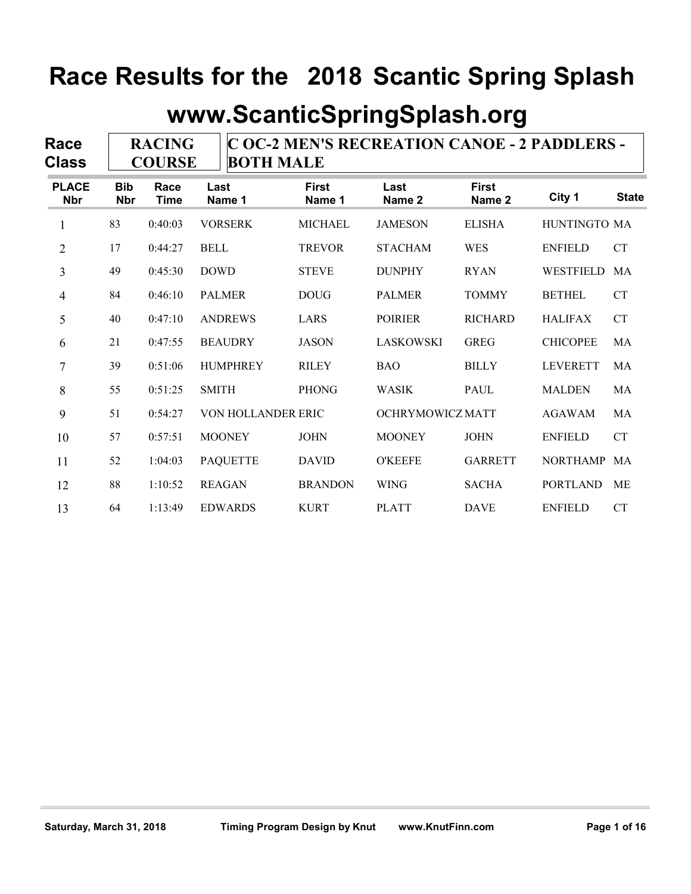|                             |                          |                                | www.ScanticSpringSplash.org |                        |                                              |                        |                 |                    |
|-----------------------------|--------------------------|--------------------------------|-----------------------------|------------------------|----------------------------------------------|------------------------|-----------------|--------------------|
| <b>Race</b><br><b>Class</b> |                          | <b>RACING</b><br><b>COURSE</b> | <b>BOTH MALE</b>            |                        | C OC-2 MEN'S RECREATION CANOE - 2 PADDLERS - |                        |                 |                    |
| <b>PLACE</b><br><b>Nbr</b>  | <b>Bib</b><br><b>Nbr</b> | Race<br><b>Time</b>            | Last<br>Name 1              | <b>First</b><br>Name 1 | Last<br>Name 2                               | <b>First</b><br>Name 2 | City 1          | <b>State</b>       |
| 1                           | 83                       | 0:40:03                        | <b>VORSERK</b>              | <b>MICHAEL</b>         | <b>JAMESON</b>                               | <b>ELISHA</b>          | HUNTINGTO MA    |                    |
| 2                           | 17                       | 0:44:27                        | <b>BELL</b>                 | <b>TREVOR</b>          | <b>STACHAM</b>                               | <b>WES</b>             | <b>ENFIELD</b>  | <b>CT</b>          |
| 3                           | 49                       | 0:45:30                        | <b>DOWD</b>                 | <b>STEVE</b>           | <b>DUNPHY</b>                                | <b>RYAN</b>            | WESTFIELD MA    |                    |
| 4                           | 84                       | 0:46:10                        | <b>PALMER</b>               | <b>DOUG</b>            | <b>PALMER</b>                                | <b>TOMMY</b>           | <b>BETHEL</b>   | <b>CT</b>          |
| 5                           | 40                       | 0:47:10                        | <b>ANDREWS</b>              | LARS                   | <b>POIRIER</b>                               | <b>RICHARD</b>         | <b>HALIFAX</b>  | <b>CT</b>          |
| 6                           | 21                       | 0:47:55                        | <b>BEAUDRY</b>              | <b>JASON</b>           | LASKOWSKI                                    | <b>GREG</b>            | <b>CHICOPEE</b> | MA                 |
| 7                           | 39                       | 0:51:06                        | <b>HUMPHREY</b>             | <b>RILEY</b>           | <b>BAO</b>                                   | <b>BILLY</b>           | <b>LEVERETT</b> | MA                 |
| 8                           | 55                       | 0:51:25                        | <b>SMITH</b>                | <b>PHONG</b>           | <b>WASIK</b>                                 | PAUL                   | <b>MALDEN</b>   | MA                 |
| 9                           | 51                       | 0:54:27                        | VON HOLLANDER ERIC          |                        | OCHRYMOWICZ MATT                             |                        | <b>AGAWAM</b>   | MA                 |
| 10                          | 57                       | 0:57:51                        | <b>MOONEY</b>               | <b>JOHN</b>            | <b>MOONEY</b>                                | <b>JOHN</b>            | <b>ENFIELD</b>  | ${\cal C}{\cal T}$ |
| 11                          | 52                       | 1:04:03                        | <b>PAQUETTE</b>             | <b>DAVID</b>           | <b>O'KEEFE</b>                               | <b>GARRETT</b>         | NORTHAMP MA     |                    |
| 12                          | 88                       | 1:10:52                        | <b>REAGAN</b>               | <b>BRANDON</b>         | WING                                         | <b>SACHA</b>           | PORTLAND ME     |                    |
| 13                          | 64                       | 1:13:49                        | <b>EDWARDS</b>              | <b>KURT</b>            | <b>PLATT</b>                                 | <b>DAVE</b>            | <b>ENFIELD</b>  | ${\cal C}{\cal T}$ |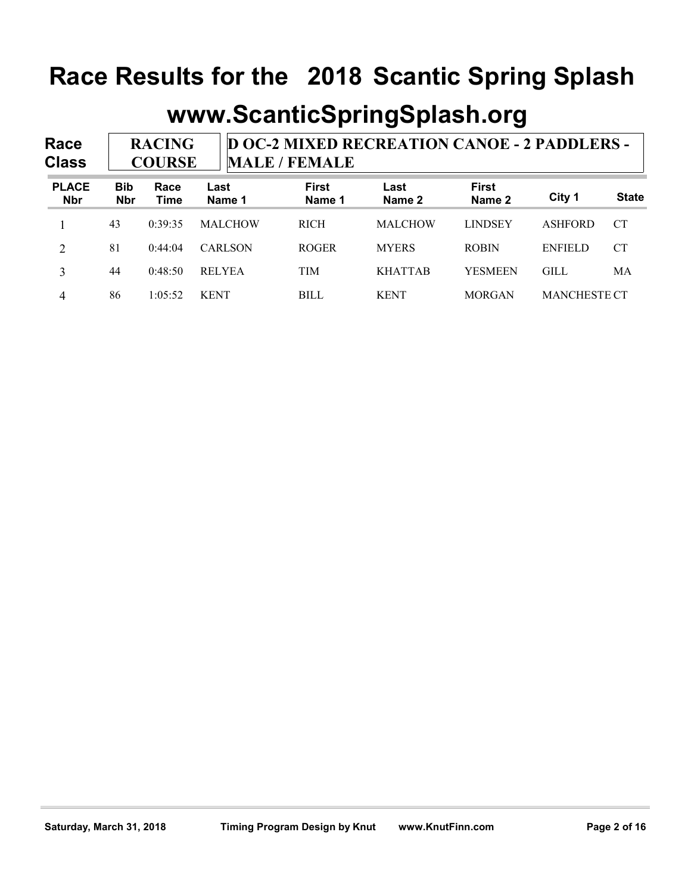|                      |                          |                                | Race Results for the 2018 Scantic Spring Splash |                        |                                                     |                        |                |              |
|----------------------|--------------------------|--------------------------------|-------------------------------------------------|------------------------|-----------------------------------------------------|------------------------|----------------|--------------|
|                      |                          |                                |                                                 |                        |                                                     |                        |                |              |
|                      |                          |                                |                                                 |                        | www.ScanticSpringSplash.org                         |                        |                |              |
| Race<br><b>Class</b> |                          | <b>RACING</b><br><b>COURSE</b> |                                                 | <b>MALE / FEMALE</b>   | <b>D OC-2 MIXED RECREATION CANOE - 2 PADDLERS -</b> |                        |                |              |
| <b>PLACE</b>         | <b>Bib</b><br><b>Nbr</b> | Race<br><b>Time</b>            | Last<br>Name 1                                  | <b>First</b><br>Name 1 | Last<br>Name 2                                      | <b>First</b><br>Name 2 | City 1         | <b>State</b> |
| <b>Nbr</b>           |                          |                                |                                                 |                        |                                                     |                        | <b>ASHFORD</b> | <b>CT</b>    |
|                      | 43                       | 0:39:35                        | <b>MALCHOW</b>                                  | <b>RICH</b>            | <b>MALCHOW</b>                                      | <b>LINDSEY</b>         |                |              |
| 2                    | 81                       | 0:44:04                        | <b>CARLSON</b>                                  | <b>ROGER</b>           | <b>MYERS</b>                                        | <b>ROBIN</b>           | <b>ENFIELD</b> | <b>CT</b>    |
| $\overline{3}$       | 44                       | 0:48:50                        | <b>RELYEA</b>                                   | <b>TIM</b>             | <b>KHATTAB</b>                                      | <b>YESMEEN</b>         | <b>GILL</b>    | MA           |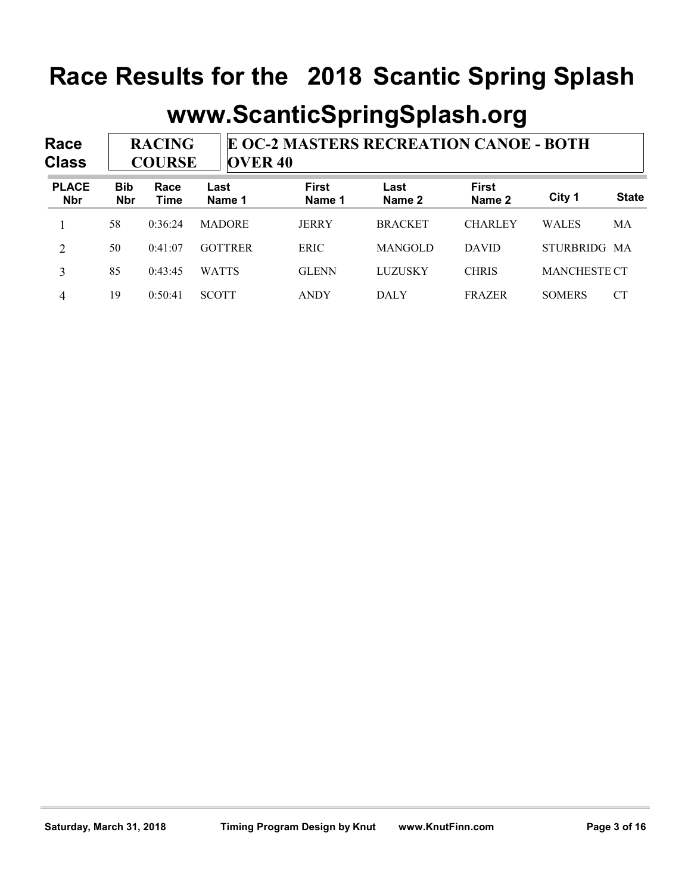|                            |                          |                                |                |                        | Race Results for the 2018 Scantic Spring Splash |                        |                     |              |
|----------------------------|--------------------------|--------------------------------|----------------|------------------------|-------------------------------------------------|------------------------|---------------------|--------------|
|                            |                          |                                |                |                        |                                                 |                        |                     |              |
|                            |                          |                                |                |                        | www.ScanticSpringSplash.org                     |                        |                     |              |
| Race<br><b>Class</b>       |                          | <b>RACING</b><br><b>COURSE</b> | <b>OVER 40</b> |                        | E OC-2 MASTERS RECREATION CANOE - BOTH          |                        |                     |              |
| <b>PLACE</b><br><b>Nbr</b> | <b>Bib</b><br><b>Nbr</b> | Race<br><b>Time</b>            | Last<br>Name 1 | <b>First</b><br>Name 1 | Last<br>Name 2                                  | <b>First</b><br>Name 2 | City 1              | <b>State</b> |
|                            |                          |                                | <b>MADORE</b>  | <b>JERRY</b>           | <b>BRACKET</b>                                  | <b>CHARLEY</b>         | <b>WALES</b>        | MA           |
|                            | 58                       | 0:36:24                        |                |                        |                                                 |                        |                     |              |
| 2                          | 50                       | 0:41:07                        | <b>GOTTRER</b> | <b>ERIC</b>            | <b>MANGOLD</b>                                  | <b>DAVID</b>           | STURBRIDG MA        |              |
| $\overline{3}$             | 85                       | 0:43:45                        | <b>WATTS</b>   | <b>GLENN</b>           | <b>LUZUSKY</b>                                  | <b>CHRIS</b>           | <b>MANCHESTE CT</b> |              |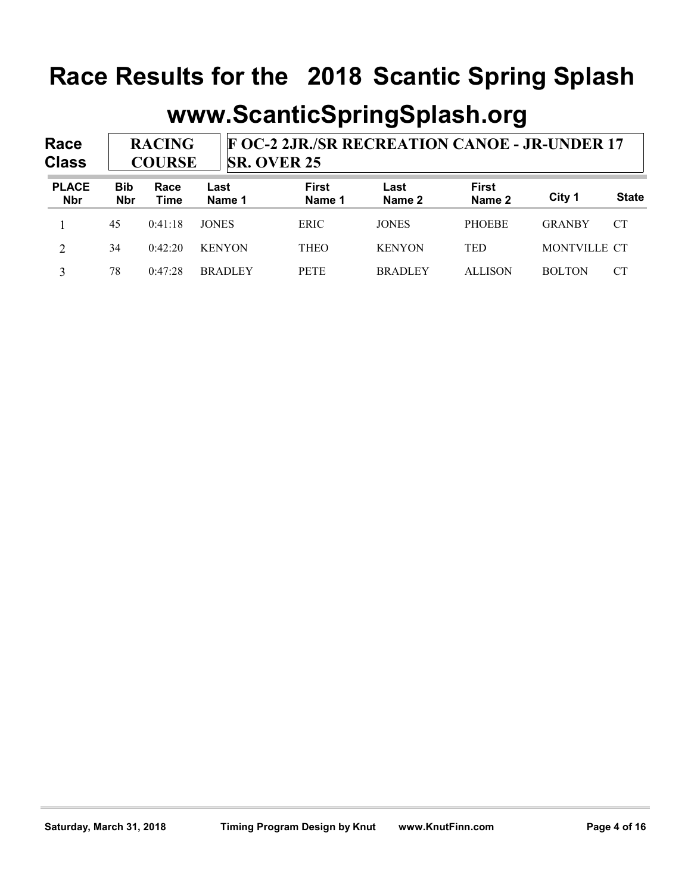|                            |                          |                                |               |                                  | Race Results for the 2018 Scantic Spring Splash |                                                      |                        |               |              |  |
|----------------------------|--------------------------|--------------------------------|---------------|----------------------------------|-------------------------------------------------|------------------------------------------------------|------------------------|---------------|--------------|--|
|                            |                          |                                |               |                                  |                                                 | www.ScanticSpringSplash.org                          |                        |               |              |  |
| Race<br><b>Class</b>       |                          | <b>RACING</b><br><b>COURSE</b> |               |                                  | <b>SR. OVER 25</b>                              | <b>F OC-2 2JR./SR RECREATION CANOE - JR-UNDER 17</b> |                        |               |              |  |
| <b>PLACE</b><br><b>Nbr</b> | <b>Bib</b><br><b>Nbr</b> | Race<br><b>Time</b>            | Last          | <b>First</b><br>Name 1<br>Name 1 |                                                 | Last<br>Name 2                                       | <b>First</b><br>Name 2 | City 1        | <b>State</b> |  |
|                            | 45                       | 0:41:18                        | <b>JONES</b>  |                                  | <b>ERIC</b>                                     | <b>JONES</b>                                         | <b>PHOEBE</b>          | <b>GRANBY</b> | <b>CT</b>    |  |
|                            |                          |                                |               |                                  | <b>THEO</b>                                     | <b>KENYON</b>                                        | TED                    | MONTVILLE CT  |              |  |
| 2                          | 34                       | 0:42:20                        | <b>KENYON</b> |                                  |                                                 |                                                      |                        |               |              |  |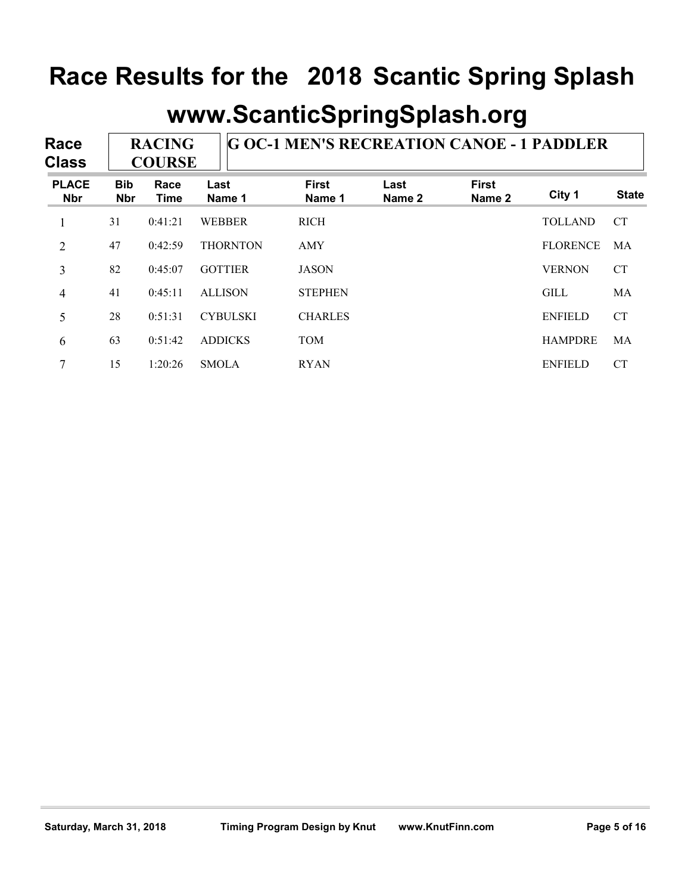|                            |                          |                                |                 |                                                  |                | www.ScanticSpringSplash.org |                 |              |
|----------------------------|--------------------------|--------------------------------|-----------------|--------------------------------------------------|----------------|-----------------------------|-----------------|--------------|
| Race<br><b>Class</b>       |                          | <b>RACING</b><br><b>COURSE</b> |                 | <b>G OC-1 MEN'S RECREATION CANOE - 1 PADDLER</b> |                |                             |                 |              |
| <b>PLACE</b><br><b>Nbr</b> | <b>Bib</b><br><b>Nbr</b> | Race<br><b>Time</b>            | Last<br>Name 1  | <b>First</b><br>Name 1                           | Last<br>Name 2 | <b>First</b><br>Name 2      | City 1          | <b>State</b> |
| $\mathbf{1}$               | 31                       | 0:41:21                        | <b>WEBBER</b>   | <b>RICH</b>                                      |                |                             | <b>TOLLAND</b>  | <b>CT</b>    |
| $\overline{2}$             | 47                       | 0:42:59                        | <b>THORNTON</b> | <b>AMY</b>                                       |                |                             | <b>FLORENCE</b> | MA           |
| 3                          | 82                       | 0:45:07                        | <b>GOTTIER</b>  | <b>JASON</b>                                     |                |                             | <b>VERNON</b>   | <b>CT</b>    |
| $\overline{4}$             | 41                       | 0:45:11                        | <b>ALLISON</b>  | <b>STEPHEN</b>                                   |                |                             | <b>GILL</b>     | MA           |
|                            |                          | 0:51:31                        | <b>CYBULSKI</b> | <b>CHARLES</b>                                   |                |                             | <b>ENFIELD</b>  | <b>CT</b>    |
| 5                          | 28                       |                                |                 |                                                  |                |                             | <b>HAMPDRE</b>  | MA           |
| 6                          | 63                       | 0:51:42                        | <b>ADDICKS</b>  | <b>TOM</b>                                       |                |                             |                 |              |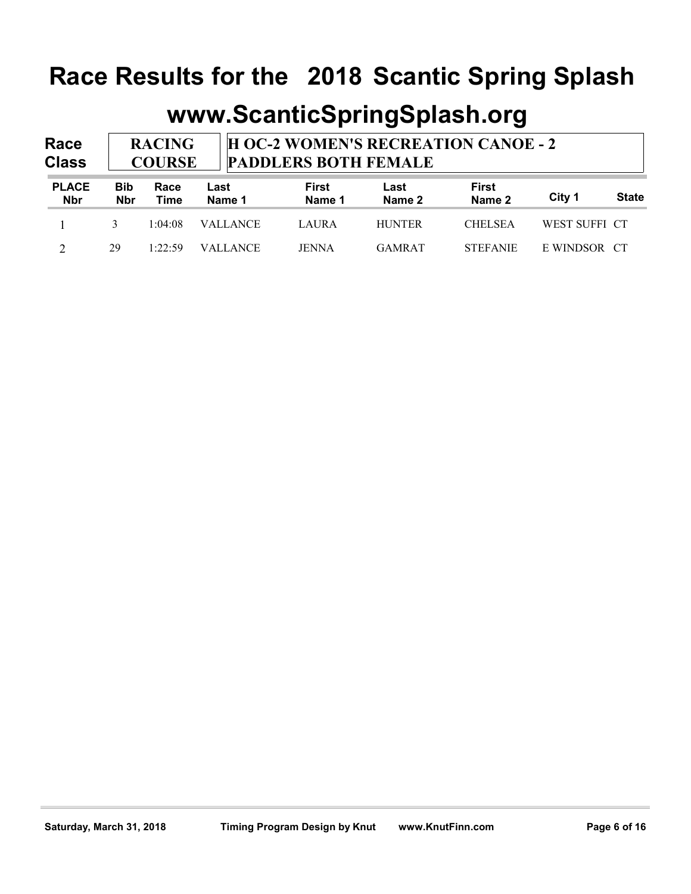|                             |                                                                                                                                            |              | Race Results for the 2018 Scantic Spring Splash |                        |                |                        |               |              |  |  |  |
|-----------------------------|--------------------------------------------------------------------------------------------------------------------------------------------|--------------|-------------------------------------------------|------------------------|----------------|------------------------|---------------|--------------|--|--|--|
| <b>Race</b><br><b>Class</b> | www.ScanticSpringSplash.org<br><b>H OC-2 WOMEN'S RECREATION CANOE - 2</b><br><b>RACING</b><br><b>PADDLERS BOTH FEMALE</b><br><b>COURSE</b> |              |                                                 |                        |                |                        |               |              |  |  |  |
| <b>PLACE</b><br><b>Nbr</b>  | <b>Bib</b><br><b>Nbr</b>                                                                                                                   | Race<br>Time | Last<br>Name 1                                  | <b>First</b><br>Name 1 | Last<br>Name 2 | <b>First</b><br>Name 2 | City 1        | <b>State</b> |  |  |  |
|                             | $\overline{3}$                                                                                                                             | 1:04:08      | <b>VALLANCE</b>                                 | <b>LAURA</b>           | <b>HUNTER</b>  | <b>CHELSEA</b>         | WEST SUFFI CT |              |  |  |  |
| 2                           | 29                                                                                                                                         | 1:22:59      | <b>VALLANCE</b>                                 | <b>JENNA</b>           | <b>GAMRAT</b>  | <b>STEFANIE</b>        | E WINDSOR CT  |              |  |  |  |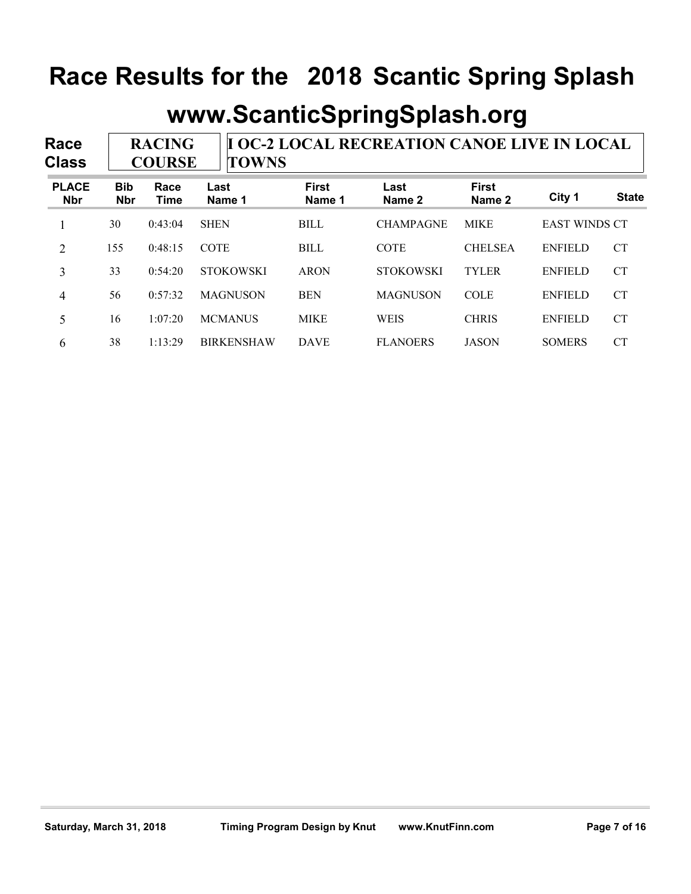|                            |                          |                                |                  |                        | www.ScanticSpringSplash.org                        |                        |                      |              |
|----------------------------|--------------------------|--------------------------------|------------------|------------------------|----------------------------------------------------|------------------------|----------------------|--------------|
| Race<br><b>Class</b>       |                          | <b>RACING</b><br><b>COURSE</b> | <b>TOWNS</b>     |                        | <b>I OC-2 LOCAL RECREATION CANOE LIVE IN LOCAL</b> |                        |                      |              |
| <b>PLACE</b><br><b>Nbr</b> | <b>Bib</b><br><b>Nbr</b> | Race<br><b>Time</b>            | Last<br>Name 1   | <b>First</b><br>Name 1 | Last<br>Name 2                                     | <b>First</b><br>Name 2 | City 1               | <b>State</b> |
| 1                          | 30                       | 0:43:04                        | <b>SHEN</b>      | <b>BILL</b>            | <b>CHAMPAGNE</b>                                   | <b>MIKE</b>            | <b>EAST WINDS CT</b> |              |
| 2                          | 155                      | 0:48:15                        | COTE             | <b>BILL</b>            | COTE                                               | <b>CHELSEA</b>         | <b>ENFIELD</b>       | <b>CT</b>    |
| $\mathfrak{Z}$             | 33                       | 0:54:20                        | <b>STOKOWSKI</b> | <b>ARON</b>            | <b>STOKOWSKI</b>                                   | <b>TYLER</b>           | <b>ENFIELD</b>       | <b>CT</b>    |
|                            | 56                       | 0:57:32                        | <b>MAGNUSON</b>  | <b>BEN</b>             | <b>MAGNUSON</b>                                    | <b>COLE</b>            | <b>ENFIELD</b>       | <b>CT</b>    |
| $\overline{4}$             |                          |                                |                  |                        |                                                    | <b>CHRIS</b>           | <b>ENFIELD</b>       | <b>CT</b>    |
| 5                          | 16                       | 1:07:20                        | <b>MCMANUS</b>   | <b>MIKE</b>            | <b>WEIS</b>                                        |                        |                      |              |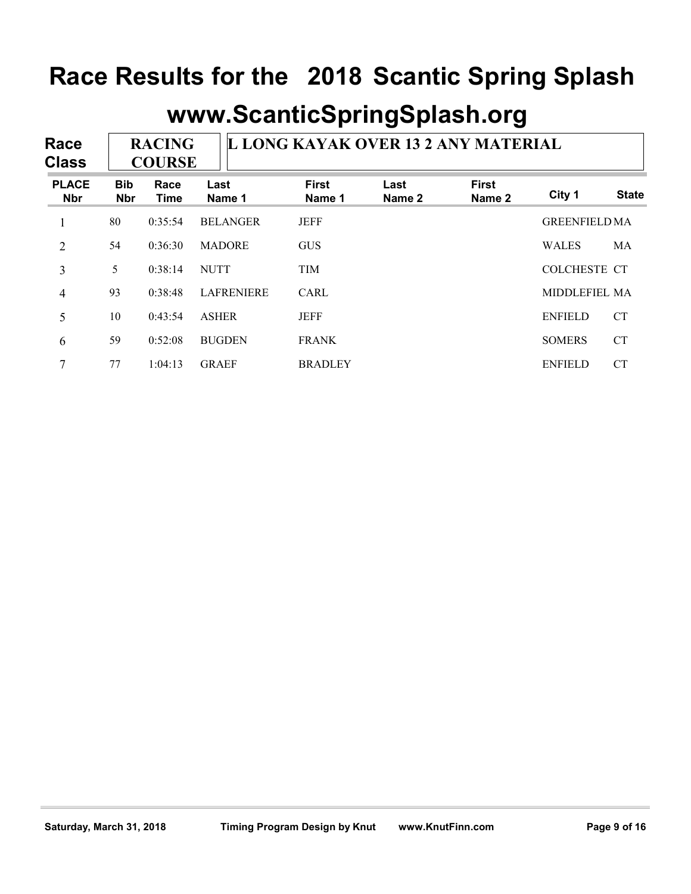|                            |                          |                                |                 |                                     |                | www.ScanticSpringSplash.org |                      |              |
|----------------------------|--------------------------|--------------------------------|-----------------|-------------------------------------|----------------|-----------------------------|----------------------|--------------|
| Race<br><b>Class</b>       |                          | <b>RACING</b><br><b>COURSE</b> |                 | L LONG KAYAK OVER 13 2 ANY MATERIAL |                |                             |                      |              |
| <b>PLACE</b><br><b>Nbr</b> | <b>Bib</b><br><b>Nbr</b> | Race<br><b>Time</b>            | Last<br>Name 1  | <b>First</b><br>Name 1              | Last<br>Name 2 | <b>First</b><br>Name 2      | City 1               | <b>State</b> |
| $\mathbf{1}$               | 80                       | 0:35:54                        | <b>BELANGER</b> | <b>JEFF</b>                         |                |                             | <b>GREENFIELD MA</b> |              |
| $\overline{2}$             | 54                       | 0:36:30                        | <b>MADORE</b>   | <b>GUS</b>                          |                |                             | <b>WALES</b>         | MA           |
| 3                          | 5 <sup>5</sup>           | 0:38:14                        | <b>NUTT</b>     | <b>TIM</b>                          |                |                             | COLCHESTE CT         |              |
| $\overline{4}$             | 93                       | 0:38:48                        | LAFRENIERE      | CARL                                |                |                             | MIDDLEFIEL MA        |              |
| 5                          | 10                       | 0:43:54                        | <b>ASHER</b>    | <b>JEFF</b>                         |                |                             | <b>ENFIELD</b>       | <b>CT</b>    |
|                            |                          | 0:52:08                        | <b>BUGDEN</b>   | <b>FRANK</b>                        |                |                             | <b>SOMERS</b>        | <b>CT</b>    |
| 6                          | 59                       |                                |                 |                                     |                |                             |                      |              |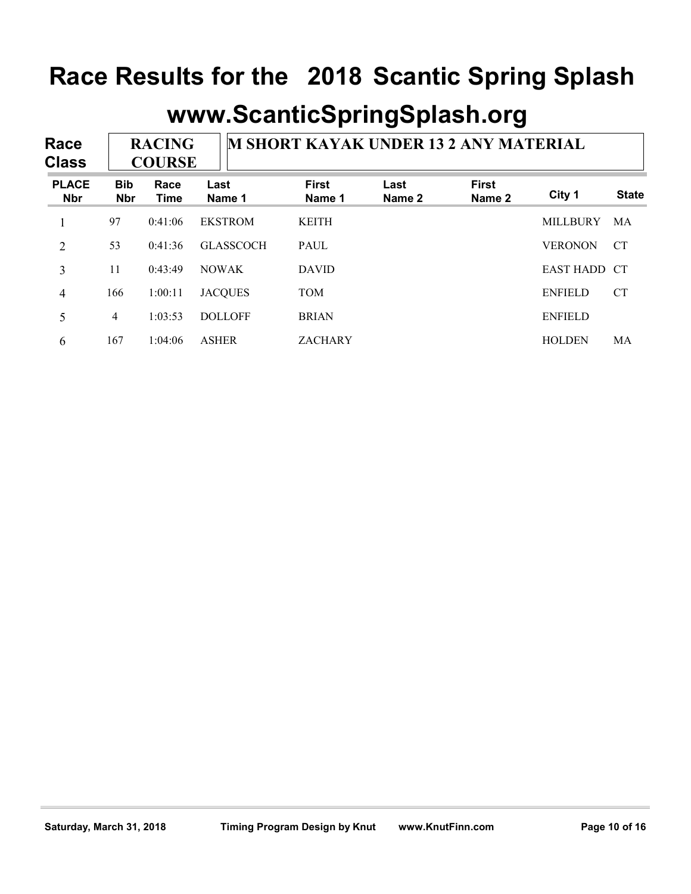| Race<br><b>Class</b>       |                          | <b>RACING</b><br><b>COURSE</b> |                  | <b>M SHORT KAYAK UNDER 13 2 ANY MATERIAL</b> |                | www.ScanticSpringSplash.org |                 |              |
|----------------------------|--------------------------|--------------------------------|------------------|----------------------------------------------|----------------|-----------------------------|-----------------|--------------|
| <b>PLACE</b><br><b>Nbr</b> | <b>Bib</b><br><b>Nbr</b> | Race<br><b>Time</b>            | Last<br>Name 1   | <b>First</b><br>Name 1                       | Last<br>Name 2 | <b>First</b><br>Name 2      | City 1          | <b>State</b> |
| $\mathbf{1}$               | 97                       | 0:41:06                        | <b>EKSTROM</b>   | <b>KEITH</b>                                 |                |                             | <b>MILLBURY</b> | MA           |
| $\overline{2}$             | 53                       | 0:41:36                        | <b>GLASSCOCH</b> | <b>PAUL</b>                                  |                |                             | <b>VERONON</b>  | <b>CT</b>    |
| $\overline{3}$             | 11                       | 0:43:49                        | <b>NOWAK</b>     | <b>DAVID</b>                                 |                |                             | EAST HADD CT    |              |
| $\overline{4}$             | 166                      | 1:00:11                        | <b>JACQUES</b>   | <b>TOM</b>                                   |                |                             | <b>ENFIELD</b>  | <b>CT</b>    |
|                            | $\overline{4}$           | 1:03:53                        | <b>DOLLOFF</b>   | <b>BRIAN</b>                                 |                |                             | <b>ENFIELD</b>  |              |
| 5                          |                          |                                |                  | <b>ZACHARY</b>                               |                |                             | <b>HOLDEN</b>   | MA           |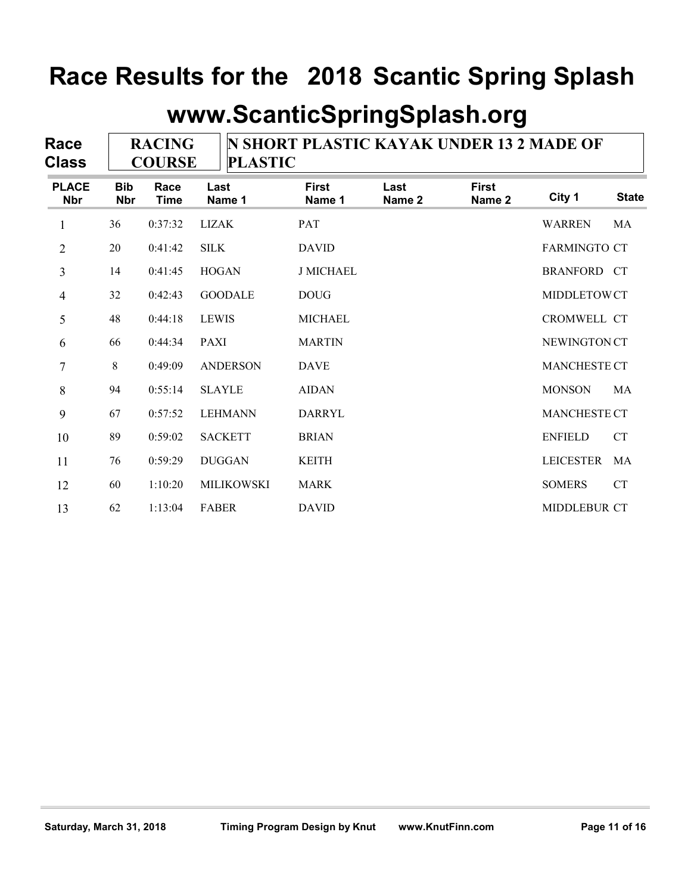|                            |                          |                                | www.ScanticSpringSplash.org |                                                 |                |                        |                     |                    |
|----------------------------|--------------------------|--------------------------------|-----------------------------|-------------------------------------------------|----------------|------------------------|---------------------|--------------------|
| Race<br><b>Class</b>       |                          | <b>RACING</b><br><b>COURSE</b> | <b>PLASTIC</b>              | <b>N SHORT PLASTIC KAYAK UNDER 13 2 MADE OF</b> |                |                        |                     |                    |
| <b>PLACE</b><br><b>Nbr</b> | <b>Bib</b><br><b>Nbr</b> | Race<br><b>Time</b>            | Last<br>Name 1              | <b>First</b><br>Name 1                          | Last<br>Name 2 | <b>First</b><br>Name 2 | City 1              | <b>State</b>       |
| 1                          | 36                       | 0:37:32                        | <b>LIZAK</b>                | <b>PAT</b>                                      |                |                        | <b>WARREN</b>       | MA                 |
| 2                          | 20                       | 0:41:42                        | <b>SILK</b>                 | <b>DAVID</b>                                    |                |                        | <b>FARMINGTO CT</b> |                    |
| 3                          | 14                       | 0:41:45                        | <b>HOGAN</b>                | <b>J MICHAEL</b>                                |                |                        | <b>BRANFORD CT</b>  |                    |
| 4                          | 32                       | 0:42:43                        | <b>GOODALE</b>              | <b>DOUG</b>                                     |                |                        | MIDDLETOWCT         |                    |
| 5                          | 48                       | 0:44:18                        | <b>LEWIS</b>                | <b>MICHAEL</b>                                  |                |                        | CROMWELL CT         |                    |
| 6                          | 66                       | 0:44:34                        | <b>PAXI</b>                 | <b>MARTIN</b>                                   |                |                        | NEWINGTON CT        |                    |
| 7                          | 8                        | 0:49:09                        | <b>ANDERSON</b>             | <b>DAVE</b>                                     |                |                        | MANCHESTE CT        |                    |
| 8                          | 94                       | 0:55:14                        | <b>SLAYLE</b>               | <b>AIDAN</b>                                    |                |                        | <b>MONSON</b>       | MA                 |
| 9                          | 67                       | 0:57:52                        | <b>LEHMANN</b>              | <b>DARRYL</b>                                   |                |                        | MANCHESTE CT        |                    |
| 10                         | 89                       | 0:59:02                        | <b>SACKETT</b>              | <b>BRIAN</b>                                    |                |                        | <b>ENFIELD</b>      | ${\cal C}{\cal T}$ |
| 11                         | 76                       | 0:59:29                        | <b>DUGGAN</b>               | <b>KEITH</b>                                    |                |                        | LEICESTER MA        |                    |
| 12                         | 60                       | 1:10:20                        | MILIKOWSKI                  | MARK                                            |                |                        | <b>SOMERS</b>       | ${\cal C}{\cal T}$ |
| 13                         | 62                       | 1:13:04                        | <b>FABER</b>                | <b>DAVID</b>                                    |                |                        | MIDDLEBUR CT        |                    |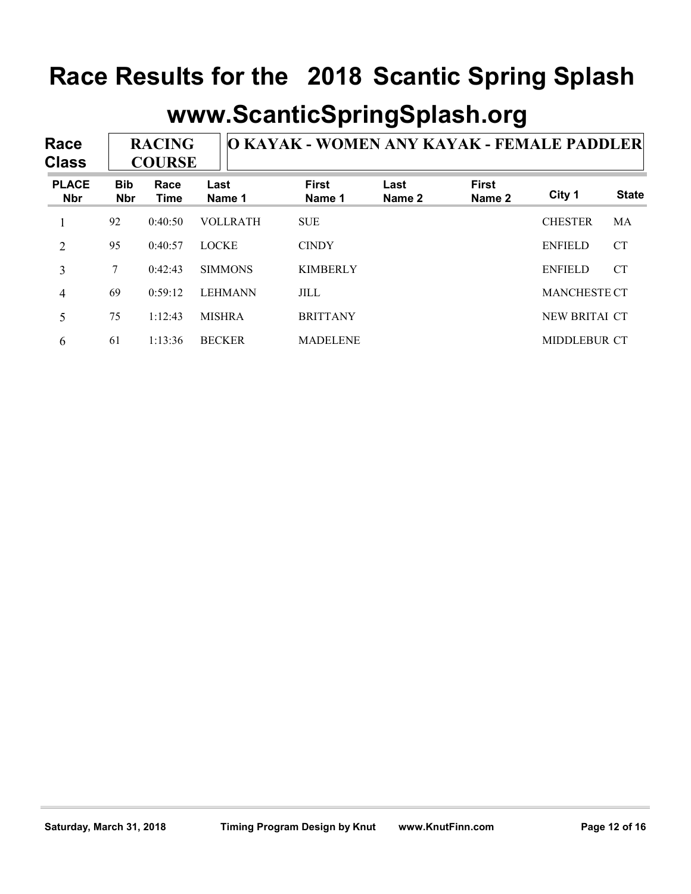| Race<br><b>Class</b>       |                          | <b>RACING</b><br><b>COURSE</b> |                 | O KAYAK - WOMEN ANY KAYAK - FEMALE PADDLER |                | www.ScanticSpringSplash.org |                     |              |
|----------------------------|--------------------------|--------------------------------|-----------------|--------------------------------------------|----------------|-----------------------------|---------------------|--------------|
| <b>PLACE</b><br><b>Nbr</b> | <b>Bib</b><br><b>Nbr</b> | Race<br><b>Time</b>            | Last<br>Name 1  | <b>First</b><br>Name 1                     | Last<br>Name 2 | <b>First</b><br>Name 2      | City 1              | <b>State</b> |
| 1                          | 92                       | 0:40:50                        | <b>VOLLRATH</b> | <b>SUE</b>                                 |                |                             | <b>CHESTER</b>      | <b>MA</b>    |
| 2                          | 95                       | 0:40:57                        | <b>LOCKE</b>    | <b>CINDY</b>                               |                |                             | <b>ENFIELD</b>      | <b>CT</b>    |
| $\overline{3}$             | $\tau$                   | 0:42:43                        | <b>SIMMONS</b>  | <b>KIMBERLY</b>                            |                |                             | <b>ENFIELD</b>      | <b>CT</b>    |
| 4                          | 69                       | 0:59:12                        | <b>LEHMANN</b>  | <b>JILL</b>                                |                |                             | <b>MANCHESTE CT</b> |              |
|                            | 75                       | 1:12:43                        | <b>MISHRA</b>   | <b>BRITTANY</b>                            |                |                             | NEW BRITAI CT       |              |
| 5                          |                          |                                | <b>BECKER</b>   | <b>MADELENE</b>                            |                |                             | MIDDLEBUR CT        |              |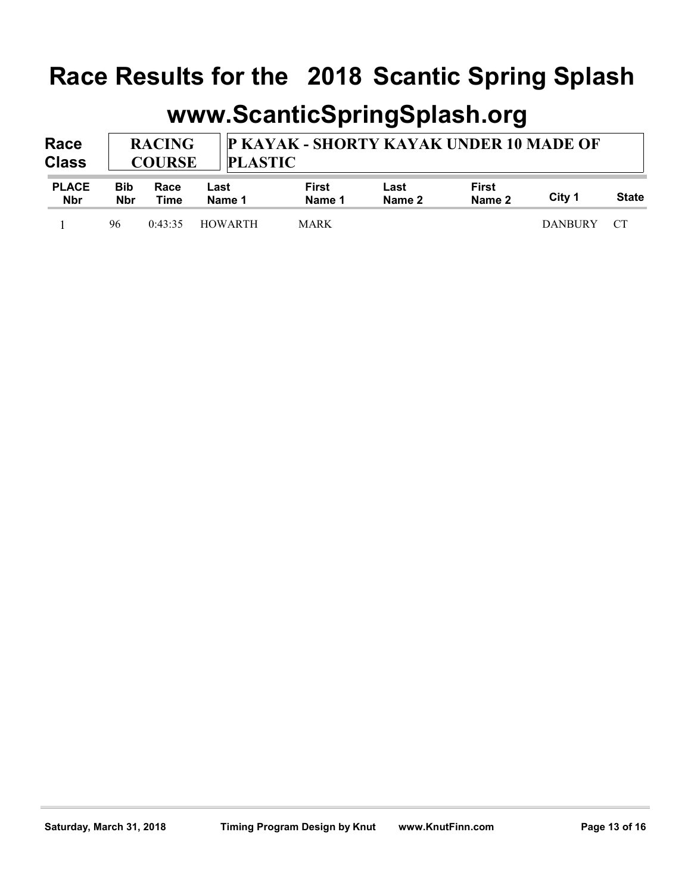| Race Results for the 2018 Scantic Spring Splash |                                                                                             |                             |                |                        |                |                        |        |              |  |  |
|-------------------------------------------------|---------------------------------------------------------------------------------------------|-----------------------------|----------------|------------------------|----------------|------------------------|--------|--------------|--|--|
|                                                 |                                                                                             | www.ScanticSpringSplash.org |                |                        |                |                        |        |              |  |  |
|                                                 | P KAYAK - SHORTY KAYAK UNDER 10 MADE OF<br><b>RACING</b><br><b>PLASTIC</b><br><b>COURSE</b> |                             |                |                        |                |                        |        |              |  |  |
| Race<br><b>Class</b>                            |                                                                                             |                             |                |                        |                |                        |        |              |  |  |
| <b>PLACE</b><br><b>Nbr</b>                      | <b>Bib</b><br>Race<br><b>Nbr</b><br>Time                                                    |                             | Last<br>Name 1 | <b>First</b><br>Name 1 | Last<br>Name 2 | <b>First</b><br>Name 2 | City 1 | <b>State</b> |  |  |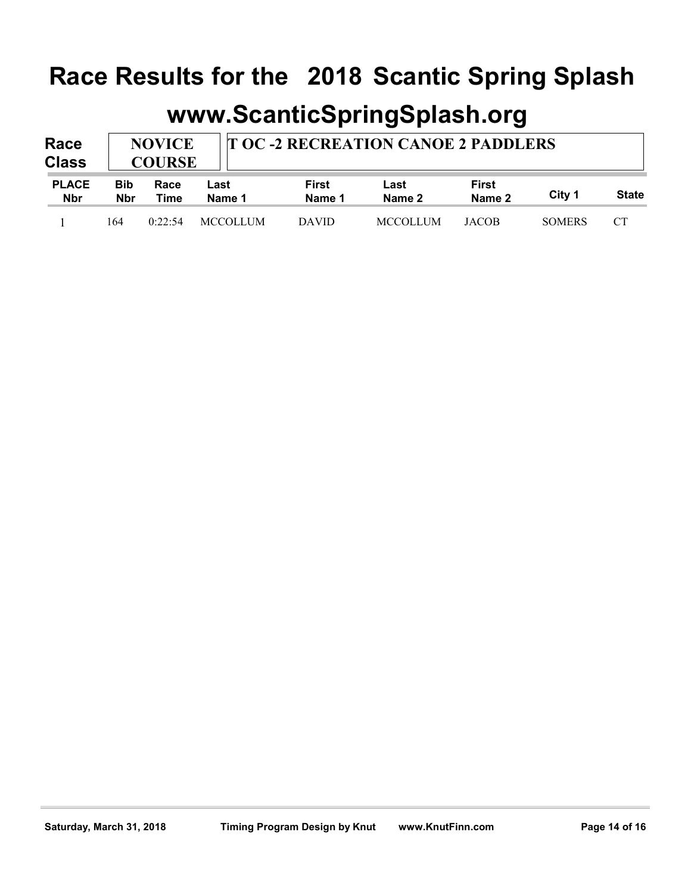| Race Results for the 2018 Scantic Spring Splash |                          |                                                                             |                 |                        |                             |                        |               |              |  |  |  |  |  |  |  |  |
|-------------------------------------------------|--------------------------|-----------------------------------------------------------------------------|-----------------|------------------------|-----------------------------|------------------------|---------------|--------------|--|--|--|--|--|--|--|--|
|                                                 |                          |                                                                             |                 |                        | www.ScanticSpringSplash.org |                        |               |              |  |  |  |  |  |  |  |  |
| Race                                            |                          | <b>T OC-2 RECREATION CANOE 2 PADDLERS</b><br><b>NOVICE</b><br><b>COURSE</b> |                 |                        |                             |                        |               |              |  |  |  |  |  |  |  |  |
| <b>Class</b>                                    |                          |                                                                             |                 |                        |                             |                        |               |              |  |  |  |  |  |  |  |  |
| <b>PLACE</b><br><b>Nbr</b>                      | <b>Bib</b><br><b>Nbr</b> | Race<br>Time                                                                | Last<br>Name 1  | <b>First</b><br>Name 1 | Last<br>Name 2              | <b>First</b><br>Name 2 | City 1        | <b>State</b> |  |  |  |  |  |  |  |  |
|                                                 | 164                      | 0:22:54                                                                     | <b>MCCOLLUM</b> | <b>DAVID</b>           | <b>MCCOLLUM</b>             | <b>JACOB</b>           | <b>SOMERS</b> | <b>CT</b>    |  |  |  |  |  |  |  |  |
|                                                 |                          |                                                                             |                 |                        |                             |                        |               |              |  |  |  |  |  |  |  |  |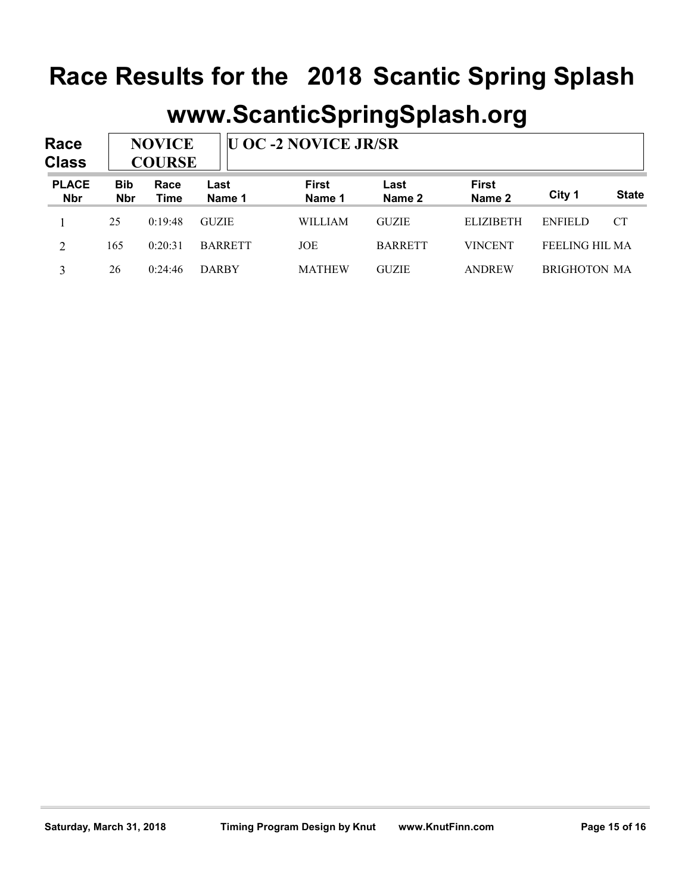| Race Results for the 2018 Scantic Spring Splash |                          |                                                               |                |                |                |                  |                |              |  |  |  |
|-------------------------------------------------|--------------------------|---------------------------------------------------------------|----------------|----------------|----------------|------------------|----------------|--------------|--|--|--|
| www.ScanticSpringSplash.org                     |                          |                                                               |                |                |                |                  |                |              |  |  |  |
| Race                                            |                          |                                                               |                |                |                |                  |                |              |  |  |  |
|                                                 |                          | <b>U OC -2 NOVICE JR/SR</b><br><b>NOVICE</b><br><b>COURSE</b> |                |                |                |                  |                |              |  |  |  |
| <b>Class</b>                                    |                          |                                                               |                | <b>First</b>   | Last           | <b>First</b>     |                |              |  |  |  |
| <b>PLACE</b><br><b>Nbr</b>                      | <b>Bib</b><br><b>Nbr</b> | Race<br><b>Time</b>                                           | Last<br>Name 1 | Name 1         | Name 2         | Name 2           | City 1         | <b>State</b> |  |  |  |
|                                                 | 25                       | 0:19:48                                                       | <b>GUZIE</b>   | <b>WILLIAM</b> | <b>GUZIE</b>   | <b>ELIZIBETH</b> | <b>ENFIELD</b> | <b>CT</b>    |  |  |  |
| $\overline{2}$                                  | 165                      | 0:20:31                                                       | <b>BARRETT</b> | JOE            | <b>BARRETT</b> | <b>VINCENT</b>   | FEELING HIL MA |              |  |  |  |